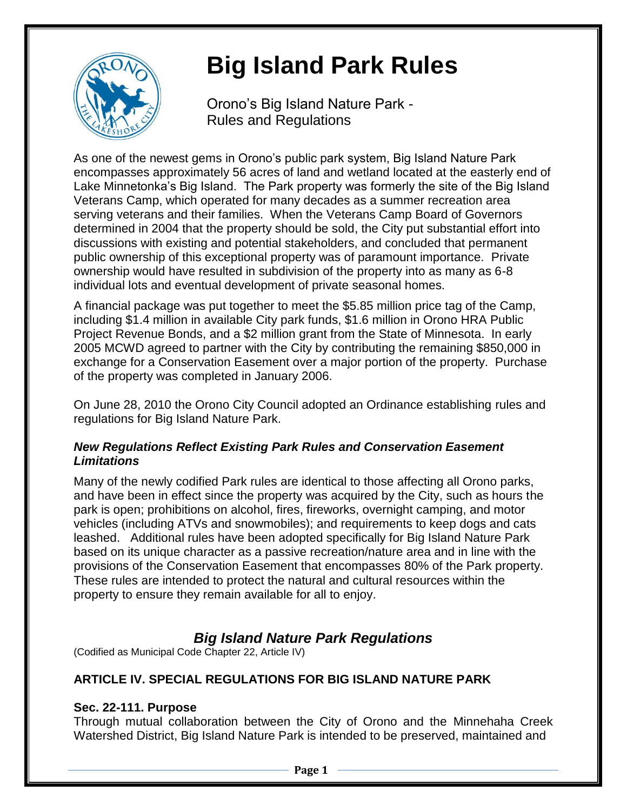

# **Big Island Park Rules**

Orono's Big Island Nature Park - Rules and Regulations

As one of the newest gems in Orono's public park system, Big Island Nature Park encompasses approximately 56 acres of land and wetland located at the easterly end of Lake Minnetonka's Big Island. The Park property was formerly the site of the Big Island Veterans Camp, which operated for many decades as a summer recreation area serving veterans and their families. When the Veterans Camp Board of Governors determined in 2004 that the property should be sold, the City put substantial effort into discussions with existing and potential stakeholders, and concluded that permanent public ownership of this exceptional property was of paramount importance. Private ownership would have resulted in subdivision of the property into as many as 6-8 individual lots and eventual development of private seasonal homes.

A financial package was put together to meet the \$5.85 million price tag of the Camp, including \$1.4 million in available City park funds, \$1.6 million in Orono HRA Public Project Revenue Bonds, and a \$2 million grant from the State of Minnesota. In early 2005 MCWD agreed to partner with the City by contributing the remaining \$850,000 in exchange for a Conservation Easement over a major portion of the property. Purchase of the property was completed in January 2006.

On June 28, 2010 the Orono City Council adopted an Ordinance establishing rules and regulations for Big Island Nature Park.

# *New Regulations Reflect Existing Park Rules and Conservation Easement Limitations*

Many of the newly codified Park rules are identical to those affecting all Orono parks, and have been in effect since the property was acquired by the City, such as hours the park is open; prohibitions on alcohol, fires, fireworks, overnight camping, and motor vehicles (including ATVs and snowmobiles); and requirements to keep dogs and cats leashed. Additional rules have been adopted specifically for Big Island Nature Park based on its unique character as a passive recreation/nature area and in line with the provisions of the Conservation Easement that encompasses 80% of the Park property. These rules are intended to protect the natural and cultural resources within the property to ensure they remain available for all to enjoy.

# *Big Island Nature Park Regulations*

(Codified as Municipal Code Chapter 22, Article IV)

# **ARTICLE IV. SPECIAL REGULATIONS FOR BIG ISLAND NATURE PARK**

# **Sec. 22-111. Purpose**

Through mutual collaboration between the City of Orono and the Minnehaha Creek Watershed District, Big Island Nature Park is intended to be preserved, maintained and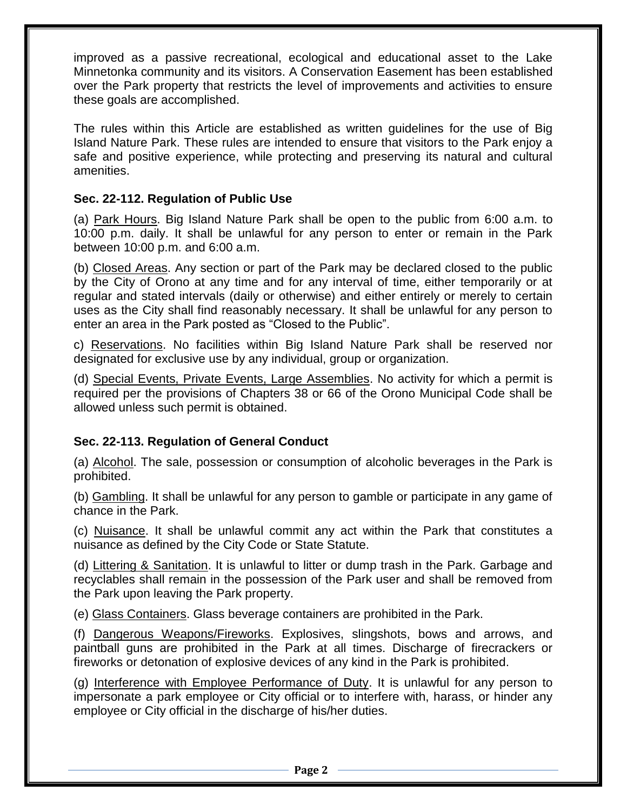improved as a passive recreational, ecological and educational asset to the Lake Minnetonka community and its visitors. A Conservation Easement has been established over the Park property that restricts the level of improvements and activities to ensure these goals are accomplished.

The rules within this Article are established as written guidelines for the use of Big Island Nature Park. These rules are intended to ensure that visitors to the Park enjoy a safe and positive experience, while protecting and preserving its natural and cultural amenities.

#### **Sec. 22-112. Regulation of Public Use**

(a) Park Hours. Big Island Nature Park shall be open to the public from 6:00 a.m. to 10:00 p.m. daily. It shall be unlawful for any person to enter or remain in the Park between 10:00 p.m. and 6:00 a.m.

(b) Closed Areas. Any section or part of the Park may be declared closed to the public by the City of Orono at any time and for any interval of time, either temporarily or at regular and stated intervals (daily or otherwise) and either entirely or merely to certain uses as the City shall find reasonably necessary. It shall be unlawful for any person to enter an area in the Park posted as "Closed to the Public".

c) Reservations. No facilities within Big Island Nature Park shall be reserved nor designated for exclusive use by any individual, group or organization.

(d) Special Events, Private Events, Large Assemblies. No activity for which a permit is required per the provisions of Chapters 38 or 66 of the Orono Municipal Code shall be allowed unless such permit is obtained.

# **Sec. 22-113. Regulation of General Conduct**

(a) Alcohol. The sale, possession or consumption of alcoholic beverages in the Park is prohibited.

(b) Gambling. It shall be unlawful for any person to gamble or participate in any game of chance in the Park.

(c) Nuisance. It shall be unlawful commit any act within the Park that constitutes a nuisance as defined by the City Code or State Statute.

(d) Littering & Sanitation. It is unlawful to litter or dump trash in the Park. Garbage and recyclables shall remain in the possession of the Park user and shall be removed from the Park upon leaving the Park property.

(e) Glass Containers. Glass beverage containers are prohibited in the Park.

(f) Dangerous Weapons/Fireworks. Explosives, slingshots, bows and arrows, and paintball guns are prohibited in the Park at all times. Discharge of firecrackers or fireworks or detonation of explosive devices of any kind in the Park is prohibited.

(g) Interference with Employee Performance of Duty. It is unlawful for any person to impersonate a park employee or City official or to interfere with, harass, or hinder any employee or City official in the discharge of his/her duties.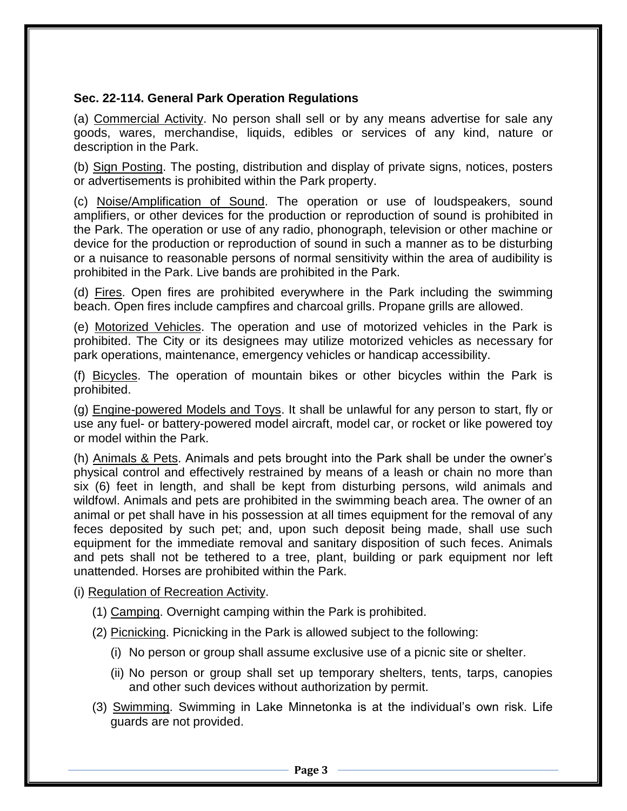#### **Sec. 22-114. General Park Operation Regulations**

(a) Commercial Activity. No person shall sell or by any means advertise for sale any goods, wares, merchandise, liquids, edibles or services of any kind, nature or description in the Park.

(b) Sign Posting. The posting, distribution and display of private signs, notices, posters or advertisements is prohibited within the Park property.

(c) Noise/Amplification of Sound. The operation or use of loudspeakers, sound amplifiers, or other devices for the production or reproduction of sound is prohibited in the Park. The operation or use of any radio, phonograph, television or other machine or device for the production or reproduction of sound in such a manner as to be disturbing or a nuisance to reasonable persons of normal sensitivity within the area of audibility is prohibited in the Park. Live bands are prohibited in the Park.

(d) Fires. Open fires are prohibited everywhere in the Park including the swimming beach. Open fires include campfires and charcoal grills. Propane grills are allowed.

(e) Motorized Vehicles. The operation and use of motorized vehicles in the Park is prohibited. The City or its designees may utilize motorized vehicles as necessary for park operations, maintenance, emergency vehicles or handicap accessibility.

(f) Bicycles. The operation of mountain bikes or other bicycles within the Park is prohibited.

(g) Engine-powered Models and Toys. It shall be unlawful for any person to start, fly or use any fuel- or battery-powered model aircraft, model car, or rocket or like powered toy or model within the Park.

(h) Animals & Pets. Animals and pets brought into the Park shall be under the owner's physical control and effectively restrained by means of a leash or chain no more than six (6) feet in length, and shall be kept from disturbing persons, wild animals and wildfowl. Animals and pets are prohibited in the swimming beach area. The owner of an animal or pet shall have in his possession at all times equipment for the removal of any feces deposited by such pet; and, upon such deposit being made, shall use such equipment for the immediate removal and sanitary disposition of such feces. Animals and pets shall not be tethered to a tree, plant, building or park equipment nor left unattended. Horses are prohibited within the Park.

- (i) Regulation of Recreation Activity.
	- (1) Camping. Overnight camping within the Park is prohibited.
	- (2) Picnicking. Picnicking in the Park is allowed subject to the following:
		- (i) No person or group shall assume exclusive use of a picnic site or shelter.
		- (ii) No person or group shall set up temporary shelters, tents, tarps, canopies and other such devices without authorization by permit.
	- (3) Swimming. Swimming in Lake Minnetonka is at the individual's own risk. Life guards are not provided.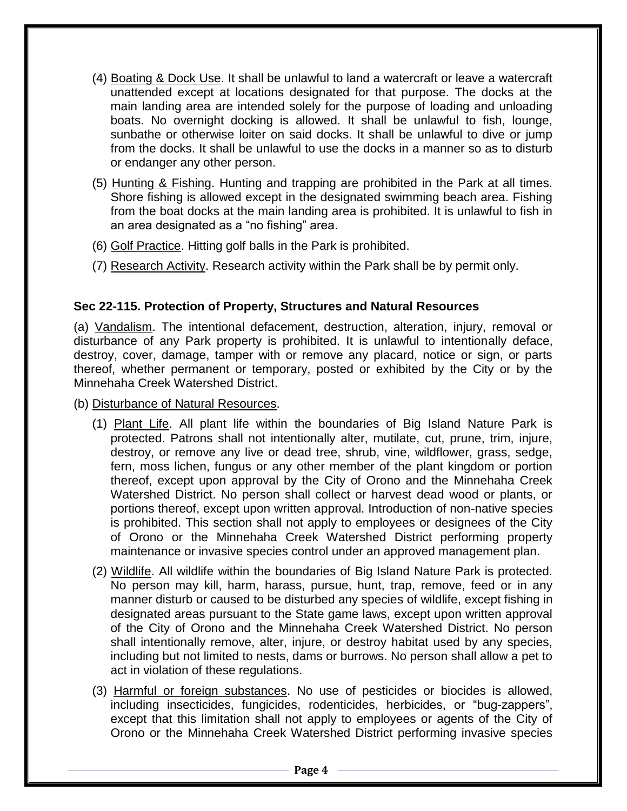- (4) Boating & Dock Use. It shall be unlawful to land a watercraft or leave a watercraft unattended except at locations designated for that purpose. The docks at the main landing area are intended solely for the purpose of loading and unloading boats. No overnight docking is allowed. It shall be unlawful to fish, lounge, sunbathe or otherwise loiter on said docks. It shall be unlawful to dive or jump from the docks. It shall be unlawful to use the docks in a manner so as to disturb or endanger any other person.
- (5) Hunting & Fishing. Hunting and trapping are prohibited in the Park at all times. Shore fishing is allowed except in the designated swimming beach area. Fishing from the boat docks at the main landing area is prohibited. It is unlawful to fish in an area designated as a "no fishing" area.
- (6) Golf Practice. Hitting golf balls in the Park is prohibited.
- (7) Research Activity. Research activity within the Park shall be by permit only.

# **Sec 22-115. Protection of Property, Structures and Natural Resources**

(a) Vandalism. The intentional defacement, destruction, alteration, injury, removal or disturbance of any Park property is prohibited. It is unlawful to intentionally deface, destroy, cover, damage, tamper with or remove any placard, notice or sign, or parts thereof, whether permanent or temporary, posted or exhibited by the City or by the Minnehaha Creek Watershed District.

(b) Disturbance of Natural Resources.

- (1) Plant Life. All plant life within the boundaries of Big Island Nature Park is protected. Patrons shall not intentionally alter, mutilate, cut, prune, trim, injure, destroy, or remove any live or dead tree, shrub, vine, wildflower, grass, sedge, fern, moss lichen, fungus or any other member of the plant kingdom or portion thereof, except upon approval by the City of Orono and the Minnehaha Creek Watershed District. No person shall collect or harvest dead wood or plants, or portions thereof, except upon written approval. Introduction of non-native species is prohibited. This section shall not apply to employees or designees of the City of Orono or the Minnehaha Creek Watershed District performing property maintenance or invasive species control under an approved management plan.
- (2) Wildlife. All wildlife within the boundaries of Big Island Nature Park is protected. No person may kill, harm, harass, pursue, hunt, trap, remove, feed or in any manner disturb or caused to be disturbed any species of wildlife, except fishing in designated areas pursuant to the State game laws, except upon written approval of the City of Orono and the Minnehaha Creek Watershed District. No person shall intentionally remove, alter, injure, or destroy habitat used by any species, including but not limited to nests, dams or burrows. No person shall allow a pet to act in violation of these regulations.
- (3) Harmful or foreign substances. No use of pesticides or biocides is allowed, including insecticides, fungicides, rodenticides, herbicides, or "bug-zappers", except that this limitation shall not apply to employees or agents of the City of Orono or the Minnehaha Creek Watershed District performing invasive species